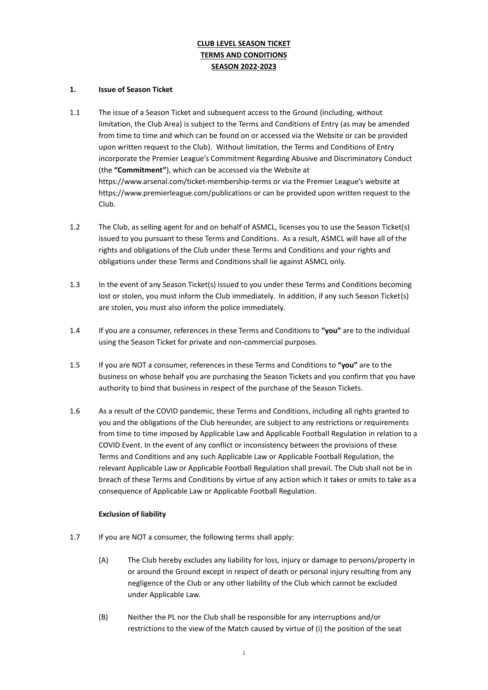# **CLUB LEVEL SEASON TICKET TERMS AND CONDITIONS SEASON 2022-2023**

### **1. Issue of Season Ticket**

- 1.1 The issue of a Season Ticket and subsequent access to the Ground (including, without limitation, the Club Area) is subject to the Terms and Conditions of Entry (as may be amended from time to time and which can be found on or accessed via the Website or can be provided upon written request to the Club). Without limitation, the Terms and Conditions of Entry incorporate the Premier League's Commitment Regarding Abusive and Discriminatory Conduct (the **"Commitment"**), which can be accessed via the Website at <https://www.arsenal.com/ticket-membership-terms> or via the Premier League's website at https://www.premierleague.com/publications or can be provided upon written request to the Club.
- 1.2 The Club, as selling agent for and on behalf of ASMCL, licenses you to use the Season Ticket(s) issued to you pursuant to these Terms and Conditions. As a result, ASMCL will have all of the rights and obligations of the Club under these Terms and Conditions and your rights and obligations under these Terms and Conditions shall lie against ASMCL only.
- 1.3 In the event of any Season Ticket(s) issued to you under these Terms and Conditions becoming lost or stolen, you must inform the Club immediately. In addition, if any such Season Ticket(s) are stolen, you must also inform the police immediately.
- 1.4 If you are a consumer, references in these Terms and Conditions to **"you"** are to the individual using the Season Ticket for private and non-commercial purposes.
- 1.5 If you are NOT a consumer, references in these Terms and Conditions to **"you"** are to the business on whose behalf you are purchasing the Season Tickets and you confirm that you have authority to bind that business in respect of the purchase of the Season Tickets.
- 1.6 As a result of the COVID pandemic, these Terms and Conditions, including all rights granted to you and the obligations of the Club hereunder, are subject to any restrictions or requirements from time to time imposed by Applicable Law and Applicable Football Regulation in relation to a COVID Event. In the event of any conflict or inconsistency between the provisions of these Terms and Conditions and any such Applicable Law or Applicable Football Regulation, the relevant Applicable Law or Applicable Football Regulation shall prevail. The Club shall not be in breach of these Terms and Conditions by virtue of any action which it takes or omits to take as a consequence of Applicable Law or Applicable Football Regulation.

# **Exclusion of liability**

- 1.7 If you are NOT a consumer, the following terms shall apply:
	- (A) The Club hereby excludes any liability for loss, injury or damage to persons/property in or around the Ground except in respect of death or personal injury resulting from any negligence of the Club or any other liability of the Club which cannot be excluded under Applicable Law.
	- (B) Neither the PL nor the Club shall be responsible for any interruptions and/or restrictions to the view of the Match caused by virtue of (i) the position of the seat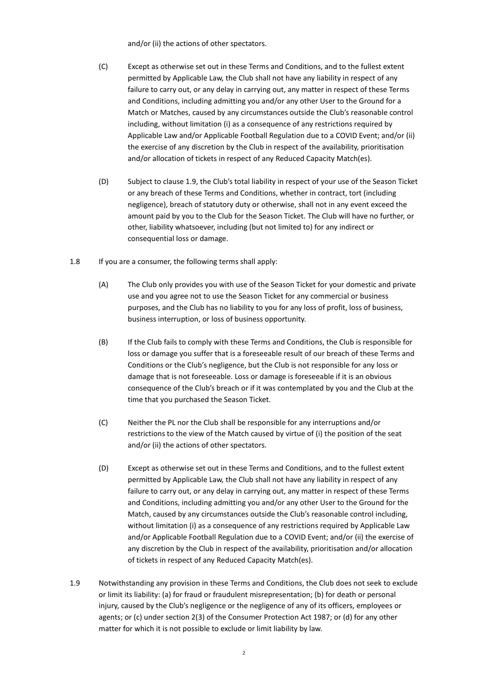and/or (ii) the actions of other spectators.

- (C) Except as otherwise set out in these Terms and Conditions, and to the fullest extent permitted by Applicable Law, the Club shall not have any liability in respect of any failure to carry out, or any delay in carrying out, any matter in respect of these Terms and Conditions, including admitting you and/or any other User to the Ground for a Match or Matches, caused by any circumstances outside the Club's reasonable control including, without limitation (i) as a consequence of any restrictions required by Applicable Law and/or Applicable Football Regulation due to a COVID Event; and/or (ii) the exercise of any discretion by the Club in respect of the availability, prioritisation and/or allocation of tickets in respect of any Reduced Capacity Match(es).
- (D) Subject to clause 1.9, the Club's total liability in respect of your use of the Season Ticket or any breach of these Terms and Conditions, whether in contract, tort (including negligence), breach of statutory duty or otherwise, shall not in any event exceed the amount paid by you to the Club for the Season Ticket. The Club will have no further, or other, liability whatsoever, including (but not limited to) for any indirect or consequential loss or damage.
- 1.8 If you are a consumer, the following terms shall apply:
	- (A) The Club only provides you with use of the Season Ticket for your domestic and private use and you agree not to use the Season Ticket for any commercial or business purposes, and the Club has no liability to you for any loss of profit, loss of business, business interruption, or loss of business opportunity.
	- (B) If the Club fails to comply with these Terms and Conditions, the Club is responsible for loss or damage you suffer that is a foreseeable result of our breach of these Terms and Conditions or the Club's negligence, but the Club is not responsible for any loss or damage that is not foreseeable. Loss or damage is foreseeable if it is an obvious consequence of the Club's breach or if it was contemplated by you and the Club at the time that you purchased the Season Ticket.
	- (C) Neither the PL nor the Club shall be responsible for any interruptions and/or restrictions to the view of the Match caused by virtue of (i) the position of the seat and/or (ii) the actions of other spectators.
	- (D) Except as otherwise set out in these Terms and Conditions, and to the fullest extent permitted by Applicable Law, the Club shall not have any liability in respect of any failure to carry out, or any delay in carrying out, any matter in respect of these Terms and Conditions, including admitting you and/or any other User to the Ground for the Match, caused by any circumstances outside the Club's reasonable control including, without limitation (i) as a consequence of any restrictions required by Applicable Law and/or Applicable Football Regulation due to a COVID Event; and/or (ii) the exercise of any discretion by the Club in respect of the availability, prioritisation and/or allocation of tickets in respect of any Reduced Capacity Match(es).
- 1.9 Notwithstanding any provision in these Terms and Conditions, the Club does not seek to exclude or limit its liability: (a) for fraud or fraudulent misrepresentation; (b) for death or personal injury, caused by the Club's negligence or the negligence of any of its officers, employees or agents; or (c) under section 2(3) of the Consumer Protection Act 1987; or (d) for any other matter for which it is not possible to exclude or limit liability by law.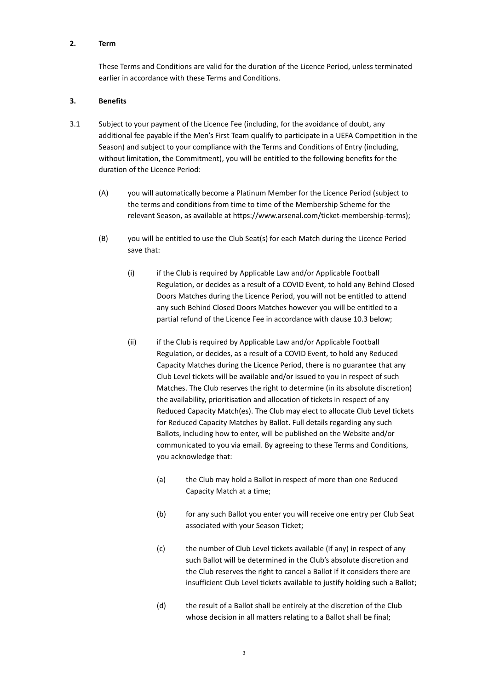#### **2. Term**

These Terms and Conditions are valid for the duration of the Licence Period, unless terminated earlier in accordance with these Terms and Conditions.

#### **3. Benefits**

- 3.1 Subject to your payment of the Licence Fee (including, for the avoidance of doubt, any additional fee payable if the Men's First Team qualify to participate in a UEFA Competition in the Season) and subject to your compliance with the Terms and Conditions of Entry (including, without limitation, the Commitment), you will be entitled to the following benefits for the duration of the Licence Period:
	- (A) you will automatically become a Platinum Member for the Licence Period (subject to the terms and conditions from time to time of the Membership Scheme for the relevant Season, as available at [https://www.arsenal.com/ticket-membership-terms\)](https://www.arsenal.com/ticket-membership-terms);
	- (B) you will be entitled to use the Club Seat(s) for each Match during the Licence Period save that:
		- (i) if the Club is required by Applicable Law and/or Applicable Football Regulation, or decides as a result of a COVID Event, to hold any Behind Closed Doors Matches during the Licence Period, you will not be entitled to attend any such Behind Closed Doors Matches however you will be entitled to a partial refund of the Licence Fee in accordance with clause 10.3 below;
		- (ii) if the Club is required by Applicable Law and/or Applicable Football Regulation, or decides, as a result of a COVID Event, to hold any Reduced Capacity Matches during the Licence Period, there is no guarantee that any Club Level tickets will be available and/or issued to you in respect of such Matches. The Club reserves the right to determine (in its absolute discretion) the availability, prioritisation and allocation of tickets in respect of any Reduced Capacity Match(es). The Club may elect to allocate Club Level tickets for Reduced Capacity Matches by Ballot. Full details regarding any such Ballots, including how to enter, will be published on the Website and/or communicated to you via email. By agreeing to these Terms and Conditions, you acknowledge that:
			- (a) the Club may hold a Ballot in respect of more than one Reduced Capacity Match at a time;
			- (b) for any such Ballot you enter you will receive one entry per Club Seat associated with your Season Ticket;
			- (c) the number of Club Level tickets available (if any) in respect of any such Ballot will be determined in the Club's absolute discretion and the Club reserves the right to cancel a Ballot if it considers there are insufficient Club Level tickets available to justify holding such a Ballot;
			- (d) the result of a Ballot shall be entirely at the discretion of the Club whose decision in all matters relating to a Ballot shall be final;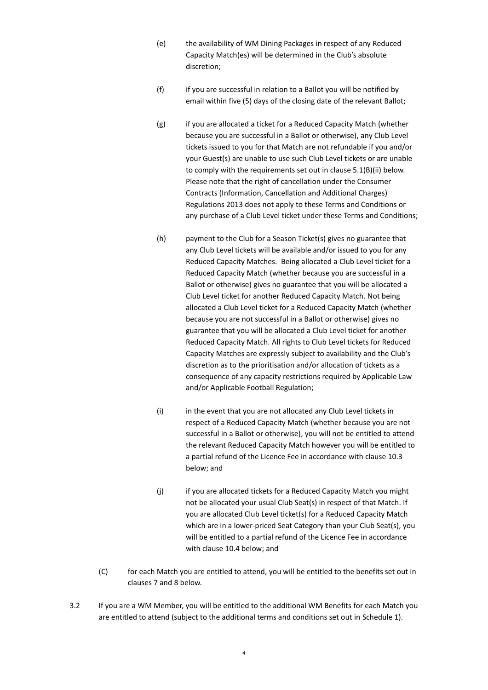- (e) the availability of WM Dining Packages in respect of any Reduced Capacity Match(es) will be determined in the Club's absolute discretion;
- (f) if you are successful in relation to a Ballot you will be notified by email within five (5) days of the closing date of the relevant Ballot;
- (g) if you are allocated a ticket for a Reduced Capacity Match (whether because you are successful in a Ballot or otherwise), any Club Level tickets issued to you for that Match are not refundable if you and/or your Guest(s) are unable to use such Club Level tickets or are unable to comply with the requirements set out in clause 5.1(B)(ii) below. Please note that the right of cancellation under the Consumer Contracts (Information, Cancellation and Additional Charges) Regulations 2013 does not apply to these Terms and Conditions or any purchase of a Club Level ticket under these Terms and Conditions;
- (h) payment to the Club for a Season Ticket(s) gives no guarantee that any Club Level tickets will be available and/or issued to you for any Reduced Capacity Matches. Being allocated a Club Level ticket for a Reduced Capacity Match (whether because you are successful in a Ballot or otherwise) gives no guarantee that you will be allocated a Club Level ticket for another Reduced Capacity Match. Not being allocated a Club Level ticket for a Reduced Capacity Match (whether because you are not successful in a Ballot or otherwise) gives no guarantee that you will be allocated a Club Level ticket for another Reduced Capacity Match. All rights to Club Level tickets for Reduced Capacity Matches are expressly subject to availability and the Club's discretion as to the prioritisation and/or allocation of tickets as a consequence of any capacity restrictions required by Applicable Law and/or Applicable Football Regulation;
- (i) in the event that you are not allocated any Club Level tickets in respect of a Reduced Capacity Match (whether because you are not successful in a Ballot or otherwise), you will not be entitled to attend the relevant Reduced Capacity Match however you will be entitled to a partial refund of the Licence Fee in accordance with clause 10.3 below; and
- (j) if you are allocated tickets for a Reduced Capacity Match you might not be allocated your usual Club Seat(s) in respect of that Match. If you are allocated Club Level ticket(s) for a Reduced Capacity Match which are in a lower-priced Seat Category than your Club Seat(s), you will be entitled to a partial refund of the Licence Fee in accordance with clause 10.4 below; and
- (C) for each Match you are entitled to attend, you will be entitled to the benefits set out in clauses 7 and 8 below.
- 3.2 If you are a WM Member, you will be entitled to the additional WM Benefits for each Match you are entitled to attend (subject to the additional terms and conditions set out in Schedule 1).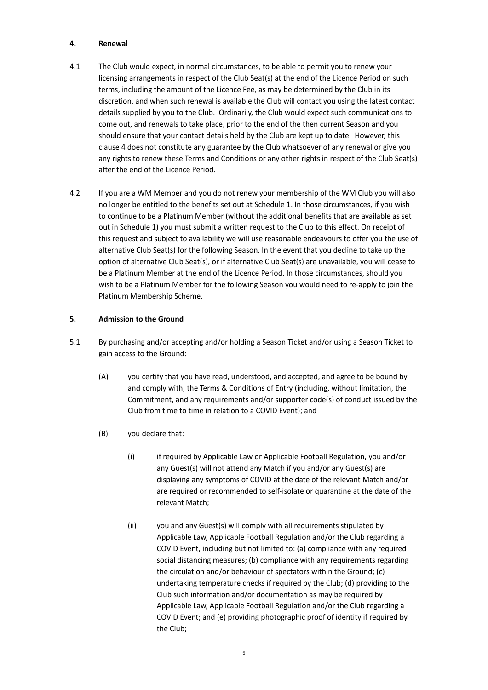#### **4. Renewal**

- 4.1 The Club would expect, in normal circumstances, to be able to permit you to renew your licensing arrangements in respect of the Club Seat(s) at the end of the Licence Period on such terms, including the amount of the Licence Fee, as may be determined by the Club in its discretion, and when such renewal is available the Club will contact you using the latest contact details supplied by you to the Club. Ordinarily, the Club would expect such communications to come out, and renewals to take place, prior to the end of the then current Season and you should ensure that your contact details held by the Club are kept up to date. However, this clause 4 does not constitute any guarantee by the Club whatsoever of any renewal or give you any rights to renew these Terms and Conditions or any other rights in respect of the Club Seat(s) after the end of the Licence Period.
- 4.2 If you are a WM Member and you do not renew your membership of the WM Club you will also no longer be entitled to the benefits set out at Schedule 1. In those circumstances, if you wish to continue to be a Platinum Member (without the additional benefits that are available as set out in Schedule 1) you must submit a written request to the Club to this effect. On receipt of this request and subject to availability we will use reasonable endeavours to offer you the use of alternative Club Seat(s) for the following Season. In the event that you decline to take up the option of alternative Club Seat(s), or if alternative Club Seat(s) are unavailable, you will cease to be a Platinum Member at the end of the Licence Period. In those circumstances, should you wish to be a Platinum Member for the following Season you would need to re-apply to join the Platinum Membership Scheme.

### **5. Admission to the Ground**

- 5.1 By purchasing and/or accepting and/or holding a Season Ticket and/or using a Season Ticket to gain access to the Ground:
	- (A) you certify that you have read, understood, and accepted, and agree to be bound by and comply with, the Terms & Conditions of Entry (including, without limitation, the Commitment, and any requirements and/or supporter code(s) of conduct issued by the Club from time to time in relation to a COVID Event); and
	- (B) you declare that:
		- (i) if required by Applicable Law or Applicable Football Regulation, you and/or any Guest(s) will not attend any Match if you and/or any Guest(s) are displaying any symptoms of COVID at the date of the relevant Match and/or are required or recommended to self-isolate or quarantine at the date of the relevant Match;
		- (ii) you and any Guest(s) will comply with all requirements stipulated by Applicable Law, Applicable Football Regulation and/or the Club regarding a COVID Event, including but not limited to: (a) compliance with any required social distancing measures; (b) compliance with any requirements regarding the circulation and/or behaviour of spectators within the Ground; (c) undertaking temperature checks if required by the Club; (d) providing to the Club such information and/or documentation as may be required by Applicable Law, Applicable Football Regulation and/or the Club regarding a COVID Event; and (e) providing photographic proof of identity if required by the Club;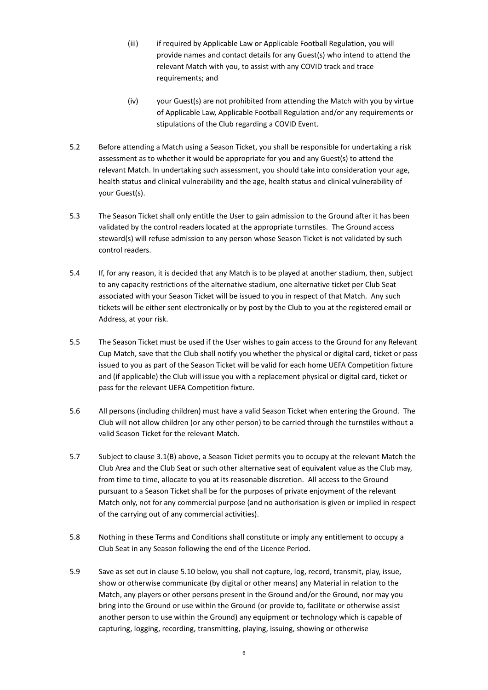- (iii) if required by Applicable Law or Applicable Football Regulation, you will provide names and contact details for any Guest(s) who intend to attend the relevant Match with you, to assist with any COVID track and trace requirements; and
- (iv) your Guest(s) are not prohibited from attending the Match with you by virtue of Applicable Law, Applicable Football Regulation and/or any requirements or stipulations of the Club regarding a COVID Event.
- 5.2 Before attending a Match using a Season Ticket, you shall be responsible for undertaking a risk assessment as to whether it would be appropriate for you and any Guest(s) to attend the relevant Match. In undertaking such assessment, you should take into consideration your age, health status and clinical vulnerability and the age, health status and clinical vulnerability of your Guest(s).
- 5.3 The Season Ticket shall only entitle the User to gain admission to the Ground after it has been validated by the control readers located at the appropriate turnstiles. The Ground access steward(s) will refuse admission to any person whose Season Ticket is not validated by such control readers.
- 5.4 If, for any reason, it is decided that any Match is to be played at another stadium, then, subject to any capacity restrictions of the alternative stadium, one alternative ticket per Club Seat associated with your Season Ticket will be issued to you in respect of that Match. Any such tickets will be either sent electronically or by post by the Club to you at the registered email or Address, at your risk.
- 5.5 The Season Ticket must be used if the User wishes to gain access to the Ground for any Relevant Cup Match, save that the Club shall notify you whether the physical or digital card, ticket or pass issued to you as part of the Season Ticket will be valid for each home UEFA Competition fixture and (if applicable) the Club will issue you with a replacement physical or digital card, ticket or pass for the relevant UEFA Competition fixture.
- 5.6 All persons (including children) must have a valid Season Ticket when entering the Ground. The Club will not allow children (or any other person) to be carried through the turnstiles without a valid Season Ticket for the relevant Match.
- 5.7 Subject to clause 3.1(B) above, a Season Ticket permits you to occupy at the relevant Match the Club Area and the Club Seat or such other alternative seat of equivalent value as the Club may, from time to time, allocate to you at its reasonable discretion. All access to the Ground pursuant to a Season Ticket shall be for the purposes of private enjoyment of the relevant Match only, not for any commercial purpose (and no authorisation is given or implied in respect of the carrying out of any commercial activities).
- 5.8 Nothing in these Terms and Conditions shall constitute or imply any entitlement to occupy a Club Seat in any Season following the end of the Licence Period.
- 5.9 Save as set out in clause 5.10 below, you shall not capture, log, record, transmit, play, issue, show or otherwise communicate (by digital or other means) any Material in relation to the Match, any players or other persons present in the Ground and/or the Ground, nor may you bring into the Ground or use within the Ground (or provide to, facilitate or otherwise assist another person to use within the Ground) any equipment or technology which is capable of capturing, logging, recording, transmitting, playing, issuing, showing or otherwise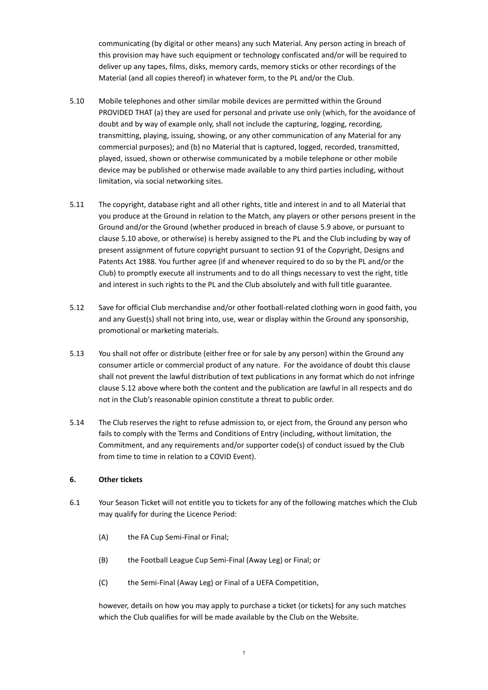communicating (by digital or other means) any such Material. Any person acting in breach of this provision may have such equipment or technology confiscated and/or will be required to deliver up any tapes, films, disks, memory cards, memory sticks or other recordings of the Material (and all copies thereof) in whatever form, to the PL and/or the Club.

- 5.10 Mobile telephones and other similar mobile devices are permitted within the Ground PROVIDED THAT (a) they are used for personal and private use only (which, for the avoidance of doubt and by way of example only, shall not include the capturing, logging, recording, transmitting, playing, issuing, showing, or any other communication of any Material for any commercial purposes); and (b) no Material that is captured, logged, recorded, transmitted, played, issued, shown or otherwise communicated by a mobile telephone or other mobile device may be published or otherwise made available to any third parties including, without limitation, via social networking sites.
- 5.11 The copyright, database right and all other rights, title and interest in and to all Material that you produce at the Ground in relation to the Match, any players or other persons present in the Ground and/or the Ground (whether produced in breach of clause 5.9 above, or pursuant to clause 5.10 above, or otherwise) is hereby assigned to the PL and the Club including by way of present assignment of future copyright pursuant to section 91 of the Copyright, Designs and Patents Act 1988. You further agree (if and whenever required to do so by the PL and/or the Club) to promptly execute all instruments and to do all things necessary to vest the right, title and interest in such rights to the PL and the Club absolutely and with full title guarantee.
- 5.12 Save for official Club merchandise and/or other football-related clothing worn in good faith, you and any Guest(s) shall not bring into, use, wear or display within the Ground any sponsorship, promotional or marketing materials.
- 5.13 You shall not offer or distribute (either free or for sale by any person) within the Ground any consumer article or commercial product of any nature. For the avoidance of doubt this clause shall not prevent the lawful distribution of text publications in any format which do not infringe clause 5.12 above where both the content and the publication are lawful in all respects and do not in the Club's reasonable opinion constitute a threat to public order.
- 5.14 The Club reserves the right to refuse admission to, or eject from, the Ground any person who fails to comply with the Terms and Conditions of Entry (including, without limitation, the Commitment, and any requirements and/or supporter code(s) of conduct issued by the Club from time to time in relation to a COVID Event).

#### **6. Other tickets**

- 6.1 Your Season Ticket will not entitle you to tickets for any of the following matches which the Club may qualify for during the Licence Period:
	- (A) the FA Cup Semi-Final or Final;
	- (B) the Football League Cup Semi-Final (Away Leg) or Final; or
	- (C) the Semi-Final (Away Leg) or Final of a UEFA Competition,

however, details on how you may apply to purchase a ticket (or tickets) for any such matches which the Club qualifies for will be made available by the Club on the Website.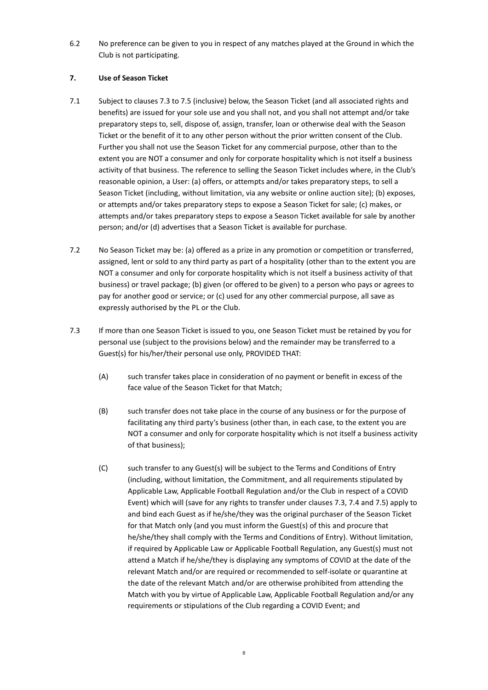6.2 No preference can be given to you in respect of any matches played at the Ground in which the Club is not participating.

### **7. Use of Season Ticket**

- 7.1 Subject to clauses 7.3 to 7.5 (inclusive) below, the Season Ticket (and all associated rights and benefits) are issued for your sole use and you shall not, and you shall not attempt and/or take preparatory steps to, sell, dispose of, assign, transfer, loan or otherwise deal with the Season Ticket or the benefit of it to any other person without the prior written consent of the Club. Further you shall not use the Season Ticket for any commercial purpose, other than to the extent you are NOT a consumer and only for corporate hospitality which is not itself a business activity of that business. The reference to selling the Season Ticket includes where, in the Club's reasonable opinion, a User: (a) offers, or attempts and/or takes preparatory steps, to sell a Season Ticket (including, without limitation, via any website or online auction site); (b) exposes, or attempts and/or takes preparatory steps to expose a Season Ticket for sale; (c) makes, or attempts and/or takes preparatory steps to expose a Season Ticket available for sale by another person; and/or (d) advertises that a Season Ticket is available for purchase.
- 7.2 No Season Ticket may be: (a) offered as a prize in any promotion or competition or transferred, assigned, lent or sold to any third party as part of a hospitality (other than to the extent you are NOT a consumer and only for corporate hospitality which is not itself a business activity of that business) or travel package; (b) given (or offered to be given) to a person who pays or agrees to pay for another good or service; or (c) used for any other commercial purpose, all save as expressly authorised by the PL or the Club.
- 7.3 If more than one Season Ticket is issued to you, one Season Ticket must be retained by you for personal use (subject to the provisions below) and the remainder may be transferred to a Guest(s) for his/her/their personal use only, PROVIDED THAT:
	- (A) such transfer takes place in consideration of no payment or benefit in excess of the face value of the Season Ticket for that Match;
	- (B) such transfer does not take place in the course of any business or for the purpose of facilitating any third party's business (other than, in each case, to the extent you are NOT a consumer and only for corporate hospitality which is not itself a business activity of that business);
	- (C) such transfer to any Guest(s) will be subject to the Terms and Conditions of Entry (including, without limitation, the Commitment, and all requirements stipulated by Applicable Law, Applicable Football Regulation and/or the Club in respect of a COVID Event) which will (save for any rights to transfer under clauses 7.3, 7.4 and 7.5) apply to and bind each Guest as if he/she/they was the original purchaser of the Season Ticket for that Match only (and you must inform the Guest(s) of this and procure that he/she/they shall comply with the Terms and Conditions of Entry). Without limitation, if required by Applicable Law or Applicable Football Regulation, any Guest(s) must not attend a Match if he/she/they is displaying any symptoms of COVID at the date of the relevant Match and/or are required or recommended to self-isolate or quarantine at the date of the relevant Match and/or are otherwise prohibited from attending the Match with you by virtue of Applicable Law, Applicable Football Regulation and/or any requirements or stipulations of the Club regarding a COVID Event; and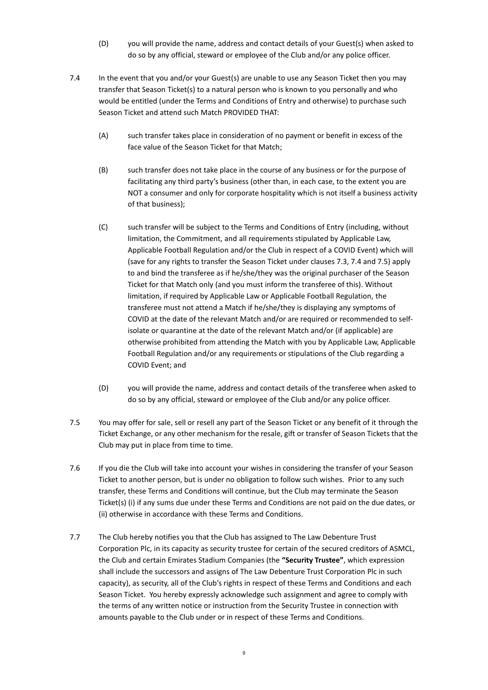- (D) you will provide the name, address and contact details of your Guest(s) when asked to do so by any official, steward or employee of the Club and/or any police officer.
- 7.4 In the event that you and/or your Guest(s) are unable to use any Season Ticket then you may transfer that Season Ticket(s) to a natural person who is known to you personally and who would be entitled (under the Terms and Conditions of Entry and otherwise) to purchase such Season Ticket and attend such Match PROVIDED THAT:
	- (A) such transfer takes place in consideration of no payment or benefit in excess of the face value of the Season Ticket for that Match;
	- (B) such transfer does not take place in the course of any business or for the purpose of facilitating any third party's business (other than, in each case, to the extent you are NOT a consumer and only for corporate hospitality which is not itself a business activity of that business);
	- (C) such transfer will be subject to the Terms and Conditions of Entry (including, without limitation, the Commitment, and all requirements stipulated by Applicable Law, Applicable Football Regulation and/or the Club in respect of a COVID Event) which will (save for any rights to transfer the Season Ticket under clauses 7.3, 7.4 and 7.5) apply to and bind the transferee as if he/she/they was the original purchaser of the Season Ticket for that Match only (and you must inform the transferee of this). Without limitation, if required by Applicable Law or Applicable Football Regulation, the transferee must not attend a Match if he/she/they is displaying any symptoms of COVID at the date of the relevant Match and/or are required or recommended to selfisolate or quarantine at the date of the relevant Match and/or (if applicable) are otherwise prohibited from attending the Match with you by Applicable Law, Applicable Football Regulation and/or any requirements or stipulations of the Club regarding a COVID Event; and
	- (D) you will provide the name, address and contact details of the transferee when asked to do so by any official, steward or employee of the Club and/or any police officer.
- 7.5 You may offer for sale, sell or resell any part of the Season Ticket or any benefit of it through the Ticket Exchange, or any other mechanism for the resale, gift or transfer of Season Tickets that the Club may put in place from time to time.
- 7.6 If you die the Club will take into account your wishes in considering the transfer of your Season Ticket to another person, but is under no obligation to follow such wishes. Prior to any such transfer, these Terms and Conditions will continue, but the Club may terminate the Season Ticket(s) (i) if any sums due under these Terms and Conditions are not paid on the due dates, or (ii) otherwise in accordance with these Terms and Conditions.
- 7.7 The Club hereby notifies you that the Club has assigned to The Law Debenture Trust Corporation Plc, in its capacity as security trustee for certain of the secured creditors of ASMCL, the Club and certain Emirates Stadium Companies (the **"Security Trustee"**, which expression shall include the successors and assigns of The Law Debenture Trust Corporation Plc in such capacity), as security, all of the Club's rights in respect of these Terms and Conditions and each Season Ticket. You hereby expressly acknowledge such assignment and agree to comply with the terms of any written notice or instruction from the Security Trustee in connection with amounts payable to the Club under or in respect of these Terms and Conditions.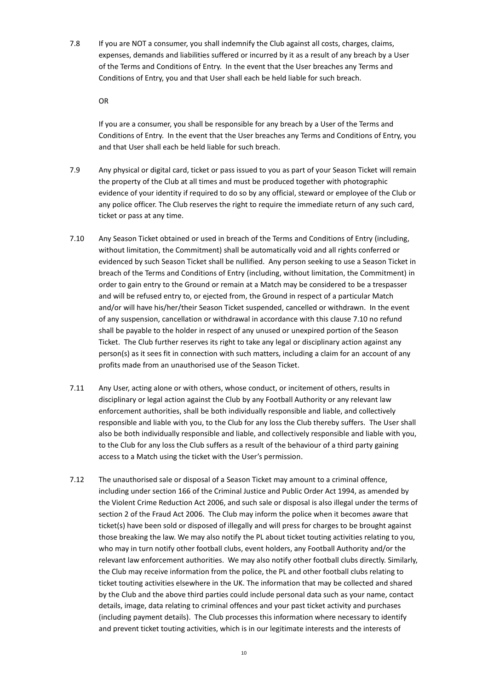7.8 If you are NOT a consumer, you shall indemnify the Club against all costs, charges, claims, expenses, demands and liabilities suffered or incurred by it as a result of any breach by a User of the Terms and Conditions of Entry. In the event that the User breaches any Terms and Conditions of Entry, you and that User shall each be held liable for such breach.

OR

If you are a consumer, you shall be responsible for any breach by a User of the Terms and Conditions of Entry. In the event that the User breaches any Terms and Conditions of Entry, you and that User shall each be held liable for such breach.

- 7.9 Any physical or digital card, ticket or pass issued to you as part of your Season Ticket will remain the property of the Club at all times and must be produced together with photographic evidence of your identity if required to do so by any official, steward or employee of the Club or any police officer. The Club reserves the right to require the immediate return of any such card, ticket or pass at any time.
- <span id="page-9-0"></span>7.10 Any Season Ticket obtained or used in breach of the Terms and Conditions of Entry (including, without limitation, the Commitment) shall be automatically void and all rights conferred or evidenced by such Season Ticket shall be nullified. Any person seeking to use a Season Ticket in breach of the Terms and Conditions of Entry (including, without limitation, the Commitment) in order to gain entry to the Ground or remain at a Match may be considered to be a trespasser and will be refused entry to, or ejected from, the Ground in respect of a particular Match and/or will have his/her/their Season Ticket suspended, cancelled or withdrawn. In the event of any suspension, cancellation or withdrawal in accordance with this clause [7.10](#page-9-0) no refund shall be payable to the holder in respect of any unused or unexpired portion of the Season Ticket. The Club further reserves its right to take any legal or disciplinary action against any person(s) as it sees fit in connection with such matters, including a claim for an account of any profits made from an unauthorised use of the Season Ticket.
- 7.11 Any User, acting alone or with others, whose conduct, or incitement of others, results in disciplinary or legal action against the Club by any Football Authority or any relevant law enforcement authorities, shall be both individually responsible and liable, and collectively responsible and liable with you, to the Club for any loss the Club thereby suffers. The User shall also be both individually responsible and liable, and collectively responsible and liable with you, to the Club for any loss the Club suffers as a result of the behaviour of a third party gaining access to a Match using the ticket with the User's permission.
- 7.12 The unauthorised sale or disposal of a Season Ticket may amount to a criminal offence, including under section 166 of the Criminal Justice and Public Order Act 1994, as amended by the Violent Crime Reduction Act 2006, and such sale or disposal is also illegal under the terms of section 2 of the Fraud Act 2006. The Club may inform the police when it becomes aware that ticket(s) have been sold or disposed of illegally and will press for charges to be brought against those breaking the law. We may also notify the PL about ticket touting activities relating to you, who may in turn notify other football clubs, event holders, any Football Authority and/or the relevant law enforcement authorities. We may also notify other football clubs directly. Similarly, the Club may receive information from the police, the PL and other football clubs relating to ticket touting activities elsewhere in the UK. The information that may be collected and shared by the Club and the above third parties could include personal data such as your name, contact details, image, data relating to criminal offences and your past ticket activity and purchases (including payment details). The Club processes this information where necessary to identify and prevent ticket touting activities, which is in our legitimate interests and the interests of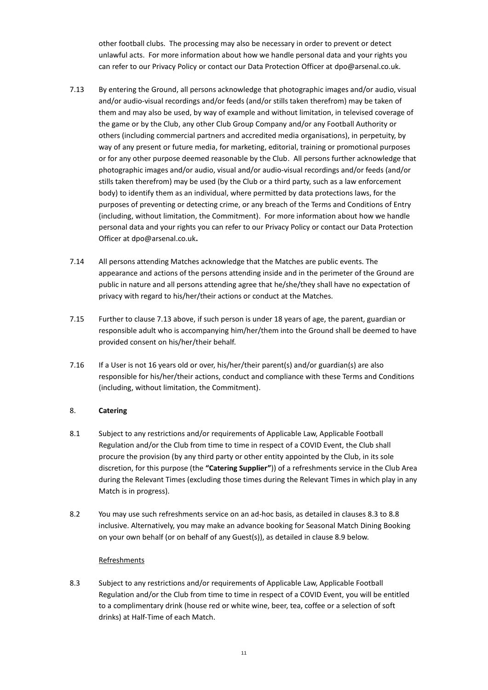other football clubs. The processing may also be necessary in order to prevent or detect unlawful acts. For more information about how we handle personal data and your rights you can refer to our Privacy Policy or contact our Data Protection Officer at dpo@arsenal.co.uk.

- 7.13 By entering the Ground, all persons acknowledge that photographic images and/or audio, visual and/or audio-visual recordings and/or feeds (and/or stills taken therefrom) may be taken of them and may also be used, by way of example and without limitation, in televised coverage of the game or by the Club, any other Club Group Company and/or any Football Authority or others (including commercial partners and accredited media organisations), in perpetuity, by way of any present or future media, for marketing, editorial, training or promotional purposes or for any other purpose deemed reasonable by the Club. All persons further acknowledge that photographic images and/or audio, visual and/or audio-visual recordings and/or feeds (and/or stills taken therefrom) may be used (by the Club or a third party, such as a law enforcement body) to identify them as an individual, where permitted by data protections laws, for the purposes of preventing or detecting crime, or any breach of the Terms and Conditions of Entry (including, without limitation, the Commitment). For more information about how we handle personal data and your rights you can refer to our Privacy Policy or contact our Data Protection Officer at dpo@arsenal.co.uk**.**
- 7.14 All persons attending Matches acknowledge that the Matches are public events. The appearance and actions of the persons attending inside and in the perimeter of the Ground are public in nature and all persons attending agree that he/she/they shall have no expectation of privacy with regard to his/her/their actions or conduct at the Matches.
- 7.15 Further to clause 7.13 above, if such person is under 18 years of age, the parent, guardian or responsible adult who is accompanying him/her/them into the Ground shall be deemed to have provided consent on his/her/their behalf.
- 7.16 If a User is not 16 years old or over, his/her/their parent(s) and/or guardian(s) are also responsible for his/her/their actions, conduct and compliance with these Terms and Conditions (including, without limitation, the Commitment).

# 8. **Catering**

- 8.1 Subject to any restrictions and/or requirements of Applicable Law, Applicable Football Regulation and/or the Club from time to time in respect of a COVID Event, the Club shall procure the provision (by any third party or other entity appointed by the Club, in its sole discretion, for this purpose (the **"Catering Supplier"**)) of a refreshments service in the Club Area during the Relevant Times (excluding those times during the Relevant Times in which play in any Match is in progress).
- 8.2 You may use such refreshments service on an ad-hoc basis, as detailed in clauses 8.3 to 8.8 inclusive. Alternatively, you may make an advance booking for Seasonal Match Dining Booking on your own behalf (or on behalf of any Guest(s)), as detailed in clause 8.9 below.

#### **Refreshments**

8.3 Subject to any restrictions and/or requirements of Applicable Law, Applicable Football Regulation and/or the Club from time to time in respect of a COVID Event, you will be entitled to a complimentary drink (house red or white wine, beer, tea, coffee or a selection of soft drinks) at Half-Time of each Match.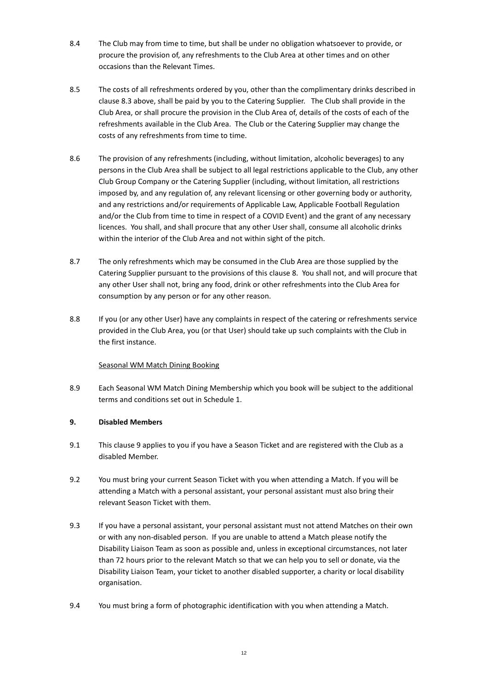- 8.4 The Club may from time to time, but shall be under no obligation whatsoever to provide, or procure the provision of, any refreshments to the Club Area at other times and on other occasions than the Relevant Times.
- 8.5 The costs of all refreshments ordered by you, other than the complimentary drinks described in clause 8.3 above, shall be paid by you to the Catering Supplier. The Club shall provide in the Club Area, or shall procure the provision in the Club Area of, details of the costs of each of the refreshments available in the Club Area. The Club or the Catering Supplier may change the costs of any refreshments from time to time.
- 8.6 The provision of any refreshments (including, without limitation, alcoholic beverages) to any persons in the Club Area shall be subject to all legal restrictions applicable to the Club, any other Club Group Company or the Catering Supplier (including, without limitation, all restrictions imposed by, and any regulation of, any relevant licensing or other governing body or authority, and any restrictions and/or requirements of Applicable Law, Applicable Football Regulation and/or the Club from time to time in respect of a COVID Event) and the grant of any necessary licences. You shall, and shall procure that any other User shall, consume all alcoholic drinks within the interior of the Club Area and not within sight of the pitch.
- 8.7 The only refreshments which may be consumed in the Club Area are those supplied by the Catering Supplier pursuant to the provisions of this clause 8. You shall not, and will procure that any other User shall not, bring any food, drink or other refreshments into the Club Area for consumption by any person or for any other reason.
- 8.8 If you (or any other User) have any complaints in respect of the catering or refreshments service provided in the Club Area, you (or that User) should take up such complaints with the Club in the first instance.

# Seasonal WM Match Dining Booking

8.9 Each Seasonal WM Match Dining Membership which you book will be subject to the additional terms and conditions set out in Schedule 1.

#### **9. Disabled Members**

- 9.1 This clause 9 applies to you if you have a Season Ticket and are registered with the Club as a disabled Member.
- 9.2 You must bring your current Season Ticket with you when attending a Match. If you will be attending a Match with a personal assistant, your personal assistant must also bring their relevant Season Ticket with them.
- 9.3 If you have a personal assistant, your personal assistant must not attend Matches on their own or with any non-disabled person. If you are unable to attend a Match please notify the Disability Liaison Team as soon as possible and, unless in exceptional circumstances, not later than 72 hours prior to the relevant Match so that we can help you to sell or donate, via the Disability Liaison Team, your ticket to another disabled supporter, a charity or local disability organisation.
- 9.4 You must bring a form of photographic identification with you when attending a Match.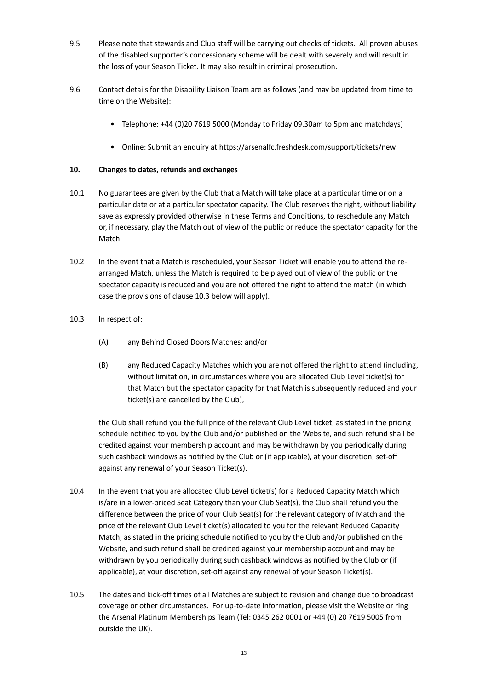- 9.5 Please note that stewards and Club staff will be carrying out checks of tickets. All proven abuses of the disabled supporter's concessionary scheme will be dealt with severely and will result in the loss of your Season Ticket. It may also result in criminal prosecution.
- 9.6 Contact details for the Disability Liaison Team are as follows (and may be updated from time to time on the Website):
	- Telephone: +44 (0)20 7619 5000 (Monday to Friday 09.30am to 5pm and matchdays)
	- Online: Submit an enquiry a[t https://arsenalfc.freshdesk.com/support/tickets/new](https://arsenalfc.freshdesk.com/support/tickets/new)

### **10. Changes to dates, refunds and exchanges**

- 10.1 No guarantees are given by the Club that a Match will take place at a particular time or on a particular date or at a particular spectator capacity. The Club reserves the right, without liability save as expressly provided otherwise in these Terms and Conditions, to reschedule any Match or, if necessary, play the Match out of view of the public or reduce the spectator capacity for the Match.
- 10.2 In the event that a Match is rescheduled, your Season Ticket will enable you to attend the rearranged Match, unless the Match is required to be played out of view of the public or the spectator capacity is reduced and you are not offered the right to attend the match (in which case the provisions of clause 10.3 below will apply).
- 10.3 In respect of:
	- (A) any Behind Closed Doors Matches; and/or
	- (B) any Reduced Capacity Matches which you are not offered the right to attend (including, without limitation, in circumstances where you are allocated Club Level ticket(s) for that Match but the spectator capacity for that Match is subsequently reduced and your ticket(s) are cancelled by the Club),

the Club shall refund you the full price of the relevant Club Level ticket, as stated in the pricing schedule notified to you by the Club and/or published on the Website, and such refund shall be credited against your membership account and may be withdrawn by you periodically during such cashback windows as notified by the Club or (if applicable), at your discretion, set-off against any renewal of your Season Ticket(s).

- 10.4 In the event that you are allocated Club Level ticket(s) for a Reduced Capacity Match which is/are in a lower-priced Seat Category than your Club Seat(s), the Club shall refund you the difference between the price of your Club Seat(s) for the relevant category of Match and the price of the relevant Club Level ticket(s) allocated to you for the relevant Reduced Capacity Match, as stated in the pricing schedule notified to you by the Club and/or published on the Website, and such refund shall be credited against your membership account and may be withdrawn by you periodically during such cashback windows as notified by the Club or (if applicable), at your discretion, set-off against any renewal of your Season Ticket(s).
- 10.5 The dates and kick-off times of all Matches are subject to revision and change due to broadcast coverage or other circumstances. For up-to-date information, please visit the Website or ring the Arsenal Platinum Memberships Team (Tel: 0345 262 0001 or +44 (0) 20 7619 5005 from outside the UK).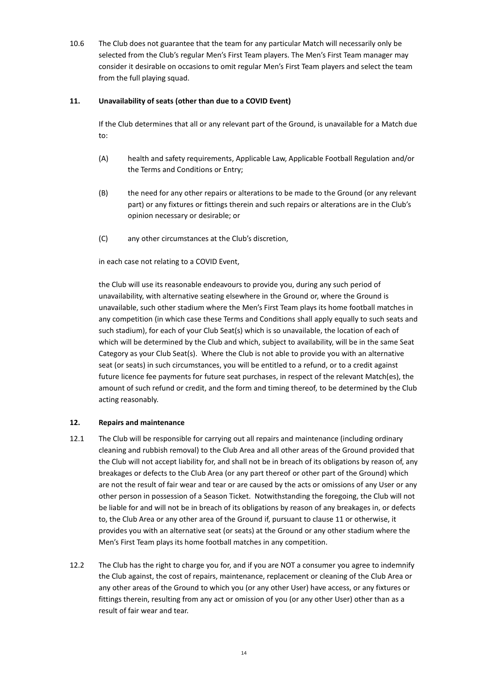10.6 The Club does not guarantee that the team for any particular Match will necessarily only be selected from the Club's regular Men's First Team players. The Men's First Team manager may consider it desirable on occasions to omit regular Men's First Team players and select the team from the full playing squad.

### **11. Unavailability of seats (other than due to a COVID Event)**

If the Club determines that all or any relevant part of the Ground, is unavailable for a Match due to:

- (A) health and safety requirements, Applicable Law, Applicable Football Regulation and/or the Terms and Conditions or Entry;
- (B) the need for any other repairs or alterations to be made to the Ground (or any relevant part) or any fixtures or fittings therein and such repairs or alterations are in the Club's opinion necessary or desirable; or
- (C) any other circumstances at the Club's discretion,

in each case not relating to a COVID Event,

the Club will use its reasonable endeavours to provide you, during any such period of unavailability, with alternative seating elsewhere in the Ground or, where the Ground is unavailable, such other stadium where the Men's First Team plays its home football matches in any competition (in which case these Terms and Conditions shall apply equally to such seats and such stadium), for each of your Club Seat(s) which is so unavailable, the location of each of which will be determined by the Club and which, subject to availability, will be in the same Seat Category as your Club Seat(s). Where the Club is not able to provide you with an alternative seat (or seats) in such circumstances, you will be entitled to a refund, or to a credit against future licence fee payments for future seat purchases, in respect of the relevant Match(es), the amount of such refund or credit, and the form and timing thereof, to be determined by the Club acting reasonably.

# **12. Repairs and maintenance**

- 12.1 The Club will be responsible for carrying out all repairs and maintenance (including ordinary cleaning and rubbish removal) to the Club Area and all other areas of the Ground provided that the Club will not accept liability for, and shall not be in breach of its obligations by reason of, any breakages or defects to the Club Area (or any part thereof or other part of the Ground) which are not the result of fair wear and tear or are caused by the acts or omissions of any User or any other person in possession of a Season Ticket. Notwithstanding the foregoing, the Club will not be liable for and will not be in breach of its obligations by reason of any breakages in, or defects to, the Club Area or any other area of the Ground if, pursuant to clause 11 or otherwise, it provides you with an alternative seat (or seats) at the Ground or any other stadium where the Men's First Team plays its home football matches in any competition.
- 12.2 The Club has the right to charge you for, and if you are NOT a consumer you agree to indemnify the Club against, the cost of repairs, maintenance, replacement or cleaning of the Club Area or any other areas of the Ground to which you (or any other User) have access, or any fixtures or fittings therein, resulting from any act or omission of you (or any other User) other than as a result of fair wear and tear.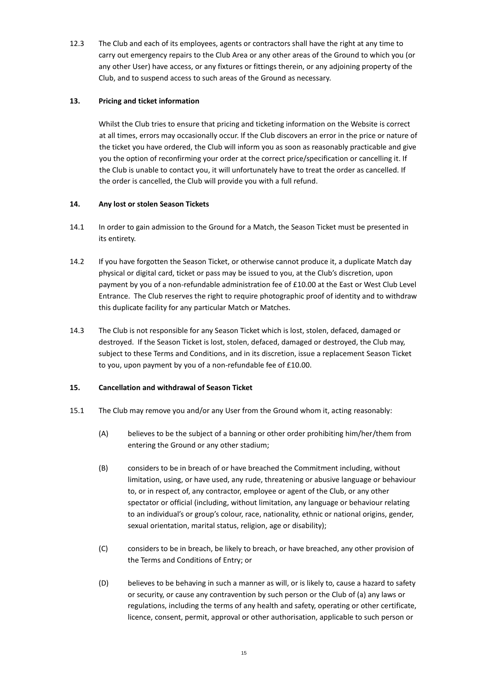12.3 The Club and each of its employees, agents or contractors shall have the right at any time to carry out emergency repairs to the Club Area or any other areas of the Ground to which you (or any other User) have access, or any fixtures or fittings therein, or any adjoining property of the Club, and to suspend access to such areas of the Ground as necessary.

### **13. Pricing and ticket information**

Whilst the Club tries to ensure that pricing and ticketing information on the Website is correct at all times, errors may occasionally occur. If the Club discovers an error in the price or nature of the ticket you have ordered, the Club will inform you as soon as reasonably practicable and give you the option of reconfirming your order at the correct price/specification or cancelling it. If the Club is unable to contact you, it will unfortunately have to treat the order as cancelled. If the order is cancelled, the Club will provide you with a full refund.

### **14. Any lost or stolen Season Tickets**

- 14.1 In order to gain admission to the Ground for a Match, the Season Ticket must be presented in its entirety.
- 14.2 If you have forgotten the Season Ticket, or otherwise cannot produce it, a duplicate Match day physical or digital card, ticket or pass may be issued to you, at the Club's discretion, upon payment by you of a non-refundable administration fee of £10.00 at the East or West Club Level Entrance. The Club reserves the right to require photographic proof of identity and to withdraw this duplicate facility for any particular Match or Matches.
- 14.3 The Club is not responsible for any Season Ticket which is lost, stolen, defaced, damaged or destroyed. If the Season Ticket is lost, stolen, defaced, damaged or destroyed, the Club may, subject to these Terms and Conditions, and in its discretion, issue a replacement Season Ticket to you, upon payment by you of a non-refundable fee of £10.00.

# **15. Cancellation and withdrawal of Season Ticket**

- 15.1 The Club may remove you and/or any User from the Ground whom it, acting reasonably:
	- (A) believes to be the subject of a banning or other order prohibiting him/her/them from entering the Ground or any other stadium;
	- (B) considers to be in breach of or have breached the Commitment including, without limitation, using, or have used, any rude, threatening or abusive language or behaviour to, or in respect of, any contractor, employee or agent of the Club, or any other spectator or official (including, without limitation, any language or behaviour relating to an individual's or group's colour, race, nationality, ethnic or national origins, gender, sexual orientation, marital status, religion, age or disability);
	- (C) considers to be in breach, be likely to breach, or have breached, any other provision of the Terms and Conditions of Entry; or
	- (D) believes to be behaving in such a manner as will, or is likely to, cause a hazard to safety or security, or cause any contravention by such person or the Club of (a) any laws or regulations, including the terms of any health and safety, operating or other certificate, licence, consent, permit, approval or other authorisation, applicable to such person or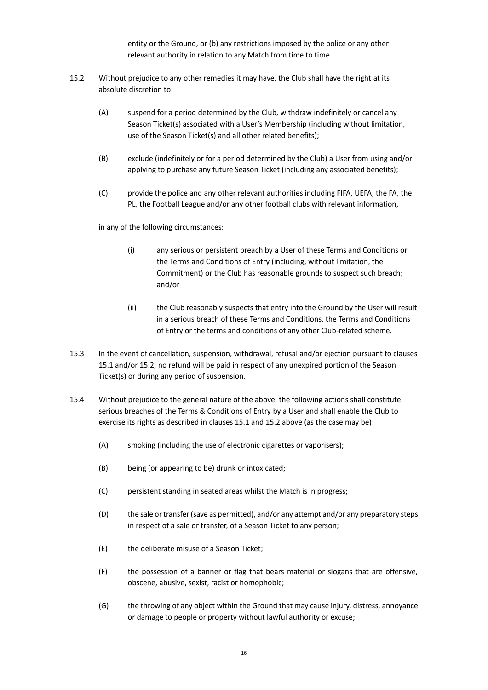entity or the Ground, or (b) any restrictions imposed by the police or any other relevant authority in relation to any Match from time to time.

- 15.2 Without prejudice to any other remedies it may have, the Club shall have the right at its absolute discretion to:
	- (A) suspend for a period determined by the Club, withdraw indefinitely or cancel any Season Ticket(s) associated with a User's Membership (including without limitation, use of the Season Ticket(s) and all other related benefits);
	- (B) exclude (indefinitely or for a period determined by the Club) a User from using and/or applying to purchase any future Season Ticket (including any associated benefits);
	- (C) provide the police and any other relevant authorities including FIFA, UEFA, the FA, the PL, the Football League and/or any other football clubs with relevant information,

in any of the following circumstances:

- (i) any serious or persistent breach by a User of these Terms and Conditions or the Terms and Conditions of Entry (including, without limitation, the Commitment) or the Club has reasonable grounds to suspect such breach; and/or
- (ii) the Club reasonably suspects that entry into the Ground by the User will result in a serious breach of these Terms and Conditions, the Terms and Conditions of Entry or the terms and conditions of any other Club-related scheme.
- 15.3 In the event of cancellation, suspension, withdrawal, refusal and/or ejection pursuant to clauses 15.1 and/or 15.2, no refund will be paid in respect of any unexpired portion of the Season Ticket(s) or during any period of suspension.
- 15.4 Without prejudice to the general nature of the above, the following actions shall constitute serious breaches of the Terms & Conditions of Entry by a User and shall enable the Club to exercise its rights as described in clauses 15.1 and 15.2 above (as the case may be):
	- (A) smoking (including the use of electronic cigarettes or vaporisers);
	- (B) being (or appearing to be) drunk or intoxicated;
	- (C) persistent standing in seated areas whilst the Match is in progress;
	- (D) the sale or transfer (save as permitted), and/or any attempt and/or any preparatory steps in respect of a sale or transfer, of a Season Ticket to any person;
	- (E) the deliberate misuse of a Season Ticket;
	- (F) the possession of a banner or flag that bears material or slogans that are offensive, obscene, abusive, sexist, racist or homophobic;
	- (G) the throwing of any object within the Ground that may cause injury, distress, annoyance or damage to people or property without lawful authority or excuse;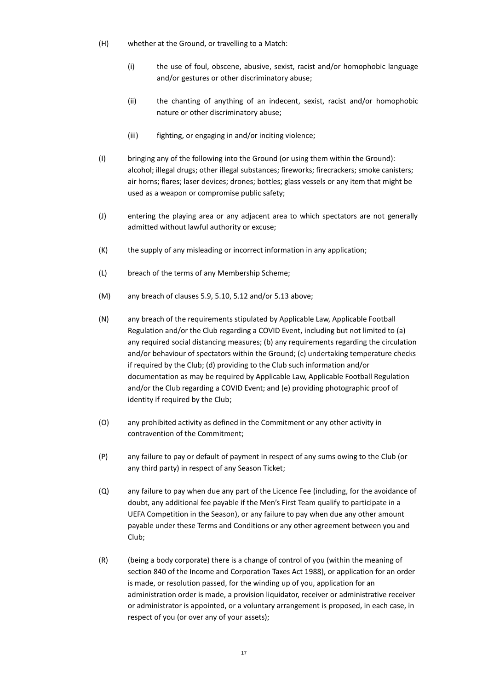- (H) whether at the Ground, or travelling to a Match:
	- (i) the use of foul, obscene, abusive, sexist, racist and/or homophobic language and/or gestures or other discriminatory abuse;
	- (ii) the chanting of anything of an indecent, sexist, racist and/or homophobic nature or other discriminatory abuse;
	- (iii) fighting, or engaging in and/or inciting violence;
- (I) bringing any of the following into the Ground (or using them within the Ground): alcohol; illegal drugs; other illegal substances; fireworks; firecrackers; smoke canisters; air horns; flares; laser devices; drones; bottles; glass vessels or any item that might be used as a weapon or compromise public safety;
- (J) entering the playing area or any adjacent area to which spectators are not generally admitted without lawful authority or excuse;
- (K) the supply of any misleading or incorrect information in any application;
- (L) breach of the terms of any Membership Scheme;
- (M) any breach of clauses 5.9, 5.10, 5.12 and/or 5.13 above;
- (N) any breach of the requirements stipulated by Applicable Law, Applicable Football Regulation and/or the Club regarding a COVID Event, including but not limited to (a) any required social distancing measures; (b) any requirements regarding the circulation and/or behaviour of spectators within the Ground; (c) undertaking temperature checks if required by the Club; (d) providing to the Club such information and/or documentation as may be required by Applicable Law, Applicable Football Regulation and/or the Club regarding a COVID Event; and (e) providing photographic proof of identity if required by the Club;
- (O) any prohibited activity as defined in the Commitment or any other activity in contravention of the Commitment;
- (P) any failure to pay or default of payment in respect of any sums owing to the Club (or any third party) in respect of any Season Ticket;
- (Q) any failure to pay when due any part of the Licence Fee (including, for the avoidance of doubt, any additional fee payable if the Men's First Team qualify to participate in a UEFA Competition in the Season), or any failure to pay when due any other amount payable under these Terms and Conditions or any other agreement between you and Club;
- (R) (being a body corporate) there is a change of control of you (within the meaning of section 840 of the Income and Corporation Taxes Act 1988), or application for an order is made, or resolution passed, for the winding up of you, application for an administration order is made, a provision liquidator, receiver or administrative receiver or administrator is appointed, or a voluntary arrangement is proposed, in each case, in respect of you (or over any of your assets);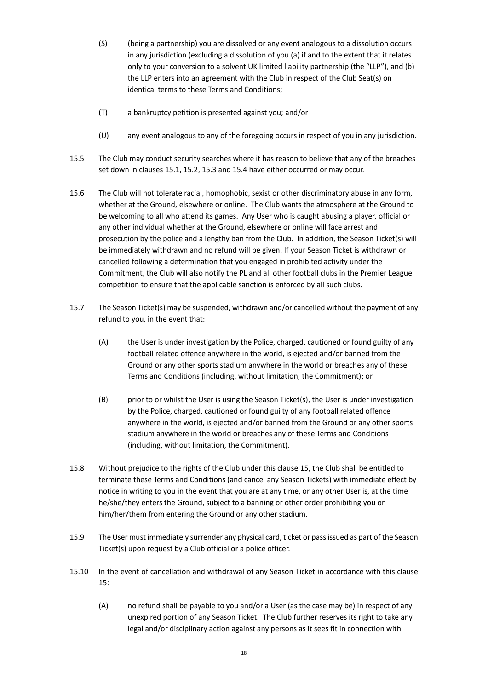- (S) (being a partnership) you are dissolved or any event analogous to a dissolution occurs in any jurisdiction (excluding a dissolution of you (a) if and to the extent that it relates only to your conversion to a solvent UK limited liability partnership (the "LLP"), and (b) the LLP enters into an agreement with the Club in respect of the Club Seat(s) on identical terms to these Terms and Conditions;
- (T) a bankruptcy petition is presented against you; and/or
- (U) any event analogous to any of the foregoing occurs in respect of you in any jurisdiction.
- 15.5 The Club may conduct security searches where it has reason to believe that any of the breaches set down in clauses 15.1, 15.2, 15.3 and 15.4 have either occurred or may occur.
- 15.6 The Club will not tolerate racial, homophobic, sexist or other discriminatory abuse in any form, whether at the Ground, elsewhere or online. The Club wants the atmosphere at the Ground to be welcoming to all who attend its games. Any User who is caught abusing a player, official or any other individual whether at the Ground, elsewhere or online will face arrest and prosecution by the police and a lengthy ban from the Club. In addition, the Season Ticket(s) will be immediately withdrawn and no refund will be given. If your Season Ticket is withdrawn or cancelled following a determination that you engaged in prohibited activity under the Commitment, the Club will also notify the PL and all other football clubs in the Premier League competition to ensure that the applicable sanction is enforced by all such clubs.
- 15.7 The Season Ticket(s) may be suspended, withdrawn and/or cancelled without the payment of any refund to you, in the event that:
	- (A) the User is under investigation by the Police, charged, cautioned or found guilty of any football related offence anywhere in the world, is ejected and/or banned from the Ground or any other sports stadium anywhere in the world or breaches any of these Terms and Conditions (including, without limitation, the Commitment); or
	- (B) prior to or whilst the User is using the Season Ticket(s), the User is under investigation by the Police, charged, cautioned or found guilty of any football related offence anywhere in the world, is ejected and/or banned from the Ground or any other sports stadium anywhere in the world or breaches any of these Terms and Conditions (including, without limitation, the Commitment).
- 15.8 Without prejudice to the rights of the Club under this clause 15, the Club shall be entitled to terminate these Terms and Conditions (and cancel any Season Tickets) with immediate effect by notice in writing to you in the event that you are at any time, or any other User is, at the time he/she/they enters the Ground, subject to a banning or other order prohibiting you or him/her/them from entering the Ground or any other stadium.
- 15.9 The User must immediately surrender any physical card, ticket or pass issued as part of the Season Ticket(s) upon request by a Club official or a police officer.
- 15.10 In the event of cancellation and withdrawal of any Season Ticket in accordance with this clause 15:
	- (A) no refund shall be payable to you and/or a User (as the case may be) in respect of any unexpired portion of any Season Ticket. The Club further reserves its right to take any legal and/or disciplinary action against any persons as it sees fit in connection with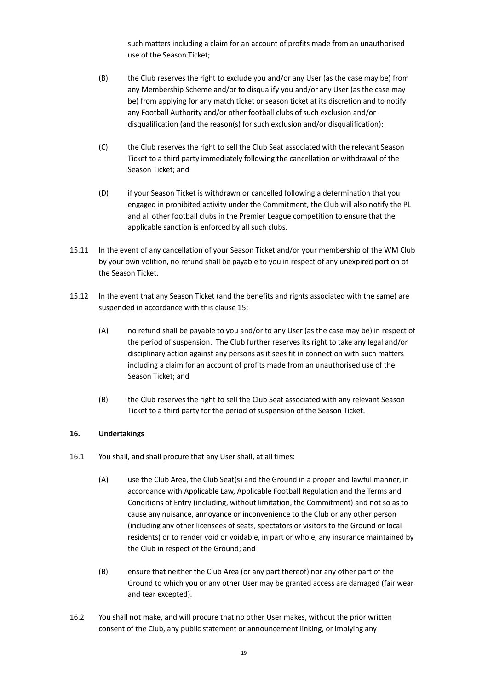such matters including a claim for an account of profits made from an unauthorised use of the Season Ticket;

- (B) the Club reserves the right to exclude you and/or any User (as the case may be) from any Membership Scheme and/or to disqualify you and/or any User (as the case may be) from applying for any match ticket or season ticket at its discretion and to notify any Football Authority and/or other football clubs of such exclusion and/or disqualification (and the reason(s) for such exclusion and/or disqualification);
- (C) the Club reserves the right to sell the Club Seat associated with the relevant Season Ticket to a third party immediately following the cancellation or withdrawal of the Season Ticket; and
- (D) if your Season Ticket is withdrawn or cancelled following a determination that you engaged in prohibited activity under the Commitment, the Club will also notify the PL and all other football clubs in the Premier League competition to ensure that the applicable sanction is enforced by all such clubs.
- 15.11 In the event of any cancellation of your Season Ticket and/or your membership of the WM Club by your own volition, no refund shall be payable to you in respect of any unexpired portion of the Season Ticket.
- 15.12 In the event that any Season Ticket (and the benefits and rights associated with the same) are suspended in accordance with this clause 15:
	- (A) no refund shall be payable to you and/or to any User (as the case may be) in respect of the period of suspension. The Club further reserves its right to take any legal and/or disciplinary action against any persons as it sees fit in connection with such matters including a claim for an account of profits made from an unauthorised use of the Season Ticket; and
	- (B) the Club reserves the right to sell the Club Seat associated with any relevant Season Ticket to a third party for the period of suspension of the Season Ticket.

# **16. Undertakings**

- 16.1 You shall, and shall procure that any User shall, at all times:
	- (A) use the Club Area, the Club Seat(s) and the Ground in a proper and lawful manner, in accordance with Applicable Law, Applicable Football Regulation and the Terms and Conditions of Entry (including, without limitation, the Commitment) and not so as to cause any nuisance, annoyance or inconvenience to the Club or any other person (including any other licensees of seats, spectators or visitors to the Ground or local residents) or to render void or voidable, in part or whole, any insurance maintained by the Club in respect of the Ground; and
	- (B) ensure that neither the Club Area (or any part thereof) nor any other part of the Ground to which you or any other User may be granted access are damaged (fair wear and tear excepted).
- 16.2 You shall not make, and will procure that no other User makes, without the prior written consent of the Club, any public statement or announcement linking, or implying any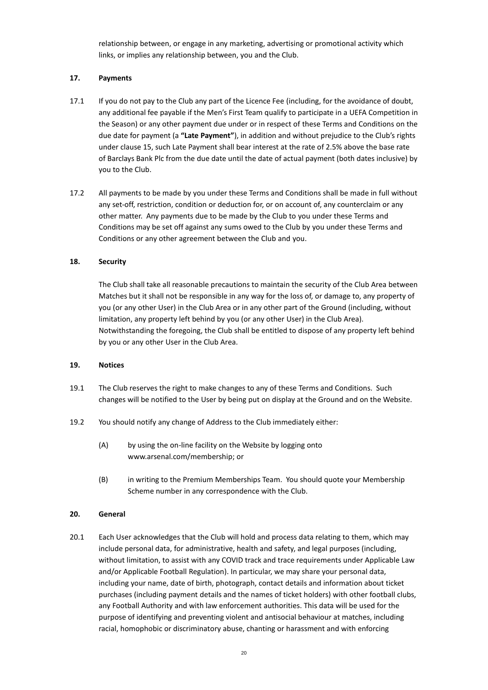relationship between, or engage in any marketing, advertising or promotional activity which links, or implies any relationship between, you and the Club.

### **17. Payments**

- 17.1 If you do not pay to the Club any part of the Licence Fee (including, for the avoidance of doubt, any additional fee payable if the Men's First Team qualify to participate in a UEFA Competition in the Season) or any other payment due under or in respect of these Terms and Conditions on the due date for payment (a **"Late Payment"**), in addition and without prejudice to the Club's rights under clause 15, such Late Payment shall bear interest at the rate of 2.5% above the base rate of Barclays Bank Plc from the due date until the date of actual payment (both dates inclusive) by you to the Club.
- 17.2 All payments to be made by you under these Terms and Conditions shall be made in full without any set-off, restriction, condition or deduction for, or on account of, any counterclaim or any other matter. Any payments due to be made by the Club to you under these Terms and Conditions may be set off against any sums owed to the Club by you under these Terms and Conditions or any other agreement between the Club and you.

### **18. Security**

The Club shall take all reasonable precautions to maintain the security of the Club Area between Matches but it shall not be responsible in any way for the loss of, or damage to, any property of you (or any other User) in the Club Area or in any other part of the Ground (including, without limitation, any property left behind by you (or any other User) in the Club Area). Notwithstanding the foregoing, the Club shall be entitled to dispose of any property left behind by you or any other User in the Club Area.

#### **19. Notices**

- 19.1 The Club reserves the right to make changes to any of these Terms and Conditions. Such changes will be notified to the User by being put on display at the Ground and on the Website.
- 19.2 You should notify any change of Address to the Club immediately either:
	- (A) by using the on-line facility on the Website by logging onto [www.arsenal.com/membership;](http://www.arsenal.com/membership) or
	- (B) in writing to the Premium Memberships Team. You should quote your Membership Scheme number in any correspondence with the Club.

#### **20. General**

20.1 Each User acknowledges that the Club will hold and process data relating to them, which may include personal data, for administrative, health and safety, and legal purposes (including, without limitation, to assist with any COVID track and trace requirements under Applicable Law and/or Applicable Football Regulation). In particular, we may share your personal data, including your name, date of birth, photograph, contact details and information about ticket purchases (including payment details and the names of ticket holders) with other football clubs, any Football Authority and with law enforcement authorities. This data will be used for the purpose of identifying and preventing violent and antisocial behaviour at matches, including racial, homophobic or discriminatory abuse, chanting or harassment and with enforcing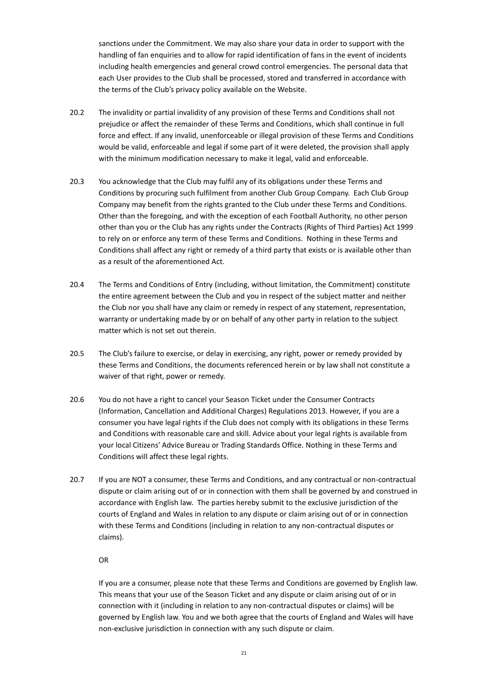sanctions under the Commitment. We may also share your data in order to support with the handling of fan enquiries and to allow for rapid identification of fans in the event of incidents including health emergencies and general crowd control emergencies. The personal data that each User provides to the Club shall be processed, stored and transferred in accordance with the terms of the Club's privacy policy available on the Website.

- 20.2 The invalidity or partial invalidity of any provision of these Terms and Conditions shall not prejudice or affect the remainder of these Terms and Conditions, which shall continue in full force and effect. If any invalid, unenforceable or illegal provision of these Terms and Conditions would be valid, enforceable and legal if some part of it were deleted, the provision shall apply with the minimum modification necessary to make it legal, valid and enforceable.
- 20.3 You acknowledge that the Club may fulfil any of its obligations under these Terms and Conditions by procuring such fulfilment from another Club Group Company. Each Club Group Company may benefit from the rights granted to the Club under these Terms and Conditions. Other than the foregoing, and with the exception of each Football Authority, no other person other than you or the Club has any rights under the Contracts (Rights of Third Parties) Act 1999 to rely on or enforce any term of these Terms and Conditions. Nothing in these Terms and Conditions shall affect any right or remedy of a third party that exists or is available other than as a result of the aforementioned Act.
- 20.4 The Terms and Conditions of Entry (including, without limitation, the Commitment) constitute the entire agreement between the Club and you in respect of the subject matter and neither the Club nor you shall have any claim or remedy in respect of any statement, representation, warranty or undertaking made by or on behalf of any other party in relation to the subject matter which is not set out therein.
- 20.5 The Club's failure to exercise, or delay in exercising, any right, power or remedy provided by these Terms and Conditions, the documents referenced herein or by law shall not constitute a waiver of that right, power or remedy.
- 20.6 You do not have a right to cancel your Season Ticket under the Consumer Contracts (Information, Cancellation and Additional Charges) Regulations 2013. However, if you are a consumer you have legal rights if the Club does not comply with its obligations in these Terms and Conditions with reasonable care and skill. Advice about your legal rights is available from your local Citizens' Advice Bureau or Trading Standards Office. Nothing in these Terms and Conditions will affect these legal rights.
- 20.7 If you are NOT a consumer, these Terms and Conditions, and any contractual or non-contractual dispute or claim arising out of or in connection with them shall be governed by and construed in accordance with English law. The parties hereby submit to the exclusive jurisdiction of the courts of England and Wales in relation to any dispute or claim arising out of or in connection with these Terms and Conditions (including in relation to any non-contractual disputes or claims).

OR

If you are a consumer, please note that these Terms and Conditions are governed by English law. This means that your use of the Season Ticket and any dispute or claim arising out of or in connection with it (including in relation to any non-contractual disputes or claims) will be governed by English law. You and we both agree that the courts of England and Wales will have non-exclusive jurisdiction in connection with any such dispute or claim.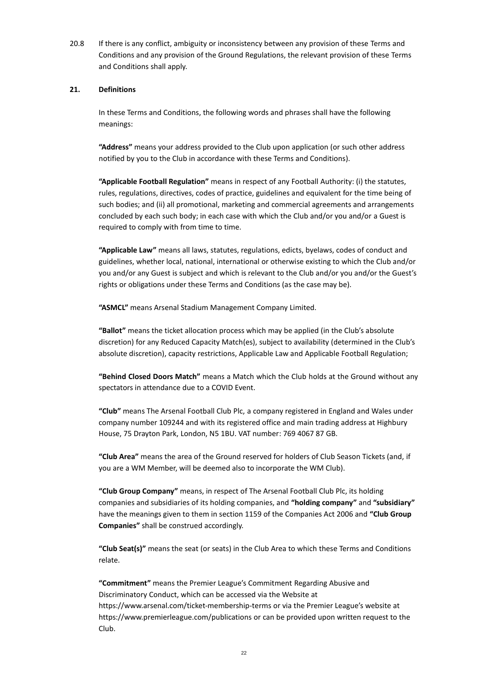20.8 If there is any conflict, ambiguity or inconsistency between any provision of these Terms and Conditions and any provision of the Ground Regulations, the relevant provision of these Terms and Conditions shall apply.

#### **21. Definitions**

In these Terms and Conditions, the following words and phrases shall have the following meanings:

**"Address"** means your address provided to the Club upon application (or such other address notified by you to the Club in accordance with these Terms and Conditions).

**"Applicable Football Regulation"** means in respect of any Football Authority: (i) the statutes, rules, regulations, directives, codes of practice, guidelines and equivalent for the time being of such bodies; and (ii) all promotional, marketing and commercial agreements and arrangements concluded by each such body; in each case with which the Club and/or you and/or a Guest is required to comply with from time to time.

**"Applicable Law"** means all laws, statutes, regulations, edicts, byelaws, codes of conduct and guidelines, whether local, national, international or otherwise existing to which the Club and/or you and/or any Guest is subject and which is relevant to the Club and/or you and/or the Guest's rights or obligations under these Terms and Conditions (as the case may be).

**"ASMCL"** means Arsenal Stadium Management Company Limited.

**"Ballot"** means the ticket allocation process which may be applied (in the Club's absolute discretion) for any Reduced Capacity Match(es), subject to availability (determined in the Club's absolute discretion), capacity restrictions, Applicable Law and Applicable Football Regulation;

**"Behind Closed Doors Match"** means a Match which the Club holds at the Ground without any spectators in attendance due to a COVID Event.

**"Club"** means The Arsenal Football Club Plc, a company registered in England and Wales under company number 109244 and with its registered office and main trading address at Highbury House, 75 Drayton Park, London, N5 1BU. VAT number: 769 4067 87 GB.

**"Club Area"** means the area of the Ground reserved for holders of Club Season Tickets (and, if you are a WM Member, will be deemed also to incorporate the WM Club).

**"Club Group Company"** means, in respect of The Arsenal Football Club Plc, its holding companies and subsidiaries of its holding companies, and **"holding company"** and **"subsidiary"** have the meanings given to them in section 1159 of the Companies Act 2006 and **"Club Group Companies"** shall be construed accordingly.

**"Club Seat(s)"** means the seat (or seats) in the Club Area to which these Terms and Conditions relate.

**"Commitment"** means the Premier League's Commitment Regarding Abusive and Discriminatory Conduct, which can be accessed via the Website at https://www.arsenal.com/ticket-membership-terms or via the Premier League's website at https://www.premierleague.com/publications or can be provided upon written request to the Club.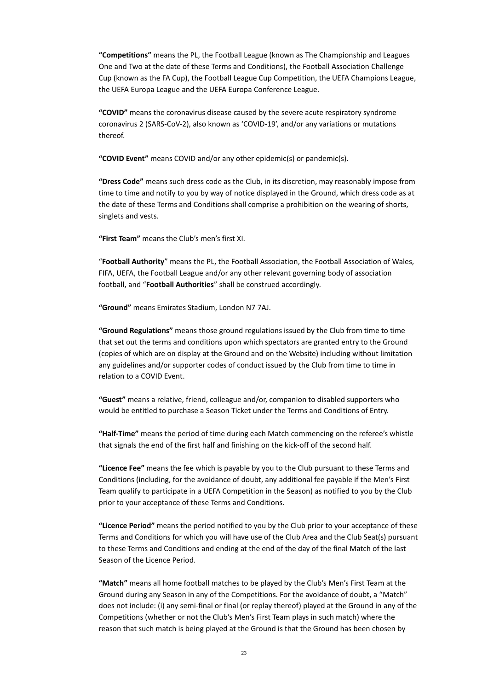**"Competitions"** means the PL, the Football League (known as The Championship and Leagues One and Two at the date of these Terms and Conditions), the Football Association Challenge Cup (known as the FA Cup), the Football League Cup Competition, the UEFA Champions League, the UEFA Europa League and the UEFA Europa Conference League.

**"COVID"** means the coronavirus disease caused by the severe acute respiratory syndrome coronavirus 2 (SARS-CoV-2), also known as 'COVID-19', and/or any variations or mutations thereof.

**"COVID Event"** means COVID and/or any other epidemic(s) or pandemic(s).

**"Dress Code"** means such dress code as the Club, in its discretion, may reasonably impose from time to time and notify to you by way of notice displayed in the Ground, which dress code as at the date of these Terms and Conditions shall comprise a prohibition on the wearing of shorts, singlets and vests.

**"First Team"** means the Club's men's first XI.

"**Football Authority**" means the PL, the Football Association, the Football Association of Wales, FIFA, UEFA, the Football League and/or any other relevant governing body of association football, and "**Football Authorities**" shall be construed accordingly.

**"Ground"** means Emirates Stadium, London N7 7AJ.

**"Ground Regulations"** means those ground regulations issued by the Club from time to time that set out the terms and conditions upon which spectators are granted entry to the Ground (copies of which are on display at the Ground and on the Website) including without limitation any guidelines and/or supporter codes of conduct issued by the Club from time to time in relation to a COVID Event.

**"Guest"** means a relative, friend, colleague and/or, companion to disabled supporters who would be entitled to purchase a Season Ticket under the Terms and Conditions of Entry.

**"Half-Time"** means the period of time during each Match commencing on the referee's whistle that signals the end of the first half and finishing on the kick-off of the second half.

**"Licence Fee"** means the fee which is payable by you to the Club pursuant to these Terms and Conditions (including, for the avoidance of doubt, any additional fee payable if the Men's First Team qualify to participate in a UEFA Competition in the Season) as notified to you by the Club prior to your acceptance of these Terms and Conditions.

**"Licence Period"** means the period notified to you by the Club prior to your acceptance of these Terms and Conditions for which you will have use of the Club Area and the Club Seat(s) pursuant to these Terms and Conditions and ending at the end of the day of the final Match of the last Season of the Licence Period.

**"Match"** means all home football matches to be played by the Club's Men's First Team at the Ground during any Season in any of the Competitions. For the avoidance of doubt, a "Match" does not include: (i) any semi-final or final (or replay thereof) played at the Ground in any of the Competitions (whether or not the Club's Men's First Team plays in such match) where the reason that such match is being played at the Ground is that the Ground has been chosen by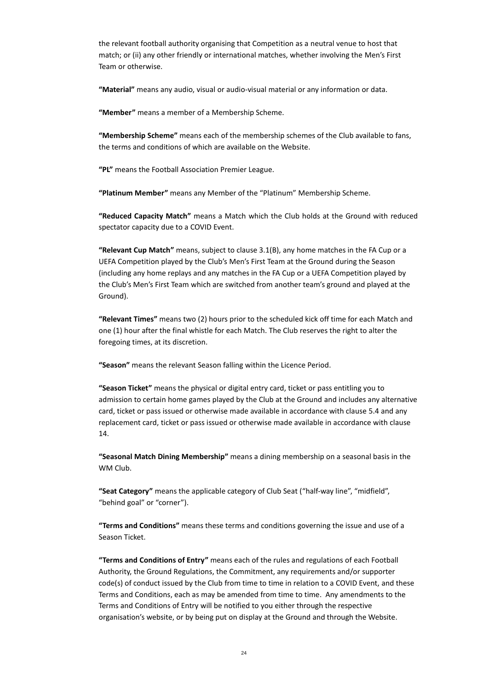the relevant football authority organising that Competition as a neutral venue to host that match; or (ii) any other friendly or international matches, whether involving the Men's First Team or otherwise.

**"Material"** means any audio, visual or audio-visual material or any information or data.

**"Member"** means a member of a Membership Scheme.

**"Membership Scheme"** means each of the membership schemes of the Club available to fans, the terms and conditions of which are available on the Website.

**"PL"** means the Football Association Premier League.

**"Platinum Member"** means any Member of the "Platinum" Membership Scheme.

**"Reduced Capacity Match"** means a Match which the Club holds at the Ground with reduced spectator capacity due to a COVID Event.

**"Relevant Cup Match"** means, subject to clause 3.1(B), any home matches in the FA Cup or a UEFA Competition played by the Club's Men's First Team at the Ground during the Season (including any home replays and any matches in the FA Cup or a UEFA Competition played by the Club's Men's First Team which are switched from another team's ground and played at the Ground).

**"Relevant Times"** means two (2) hours prior to the scheduled kick off time for each Match and one (1) hour after the final whistle for each Match. The Club reserves the right to alter the foregoing times, at its discretion.

**"Season"** means the relevant Season falling within the Licence Period.

**"Season Ticket"** means the physical or digital entry card, ticket or pass entitling you to admission to certain home games played by the Club at the Ground and includes any alternative card, ticket or pass issued or otherwise made available in accordance with clause 5.4 and any replacement card, ticket or pass issued or otherwise made available in accordance with clause 14.

**"Seasonal Match Dining Membership"** means a dining membership on a seasonal basis in the WM Club.

**"Seat Category"** means the applicable category of Club Seat ("half-way line", "midfield", "behind goal" or "corner").

**"Terms and Conditions"** means these terms and conditions governing the issue and use of a Season Ticket.

**"Terms and Conditions of Entry"** means each of the rules and regulations of each Football Authority, the Ground Regulations, the Commitment, any requirements and/or supporter code(s) of conduct issued by the Club from time to time in relation to a COVID Event, and these Terms and Conditions, each as may be amended from time to time. Any amendments to the Terms and Conditions of Entry will be notified to you either through the respective organisation's website, or by being put on display at the Ground and through the Website.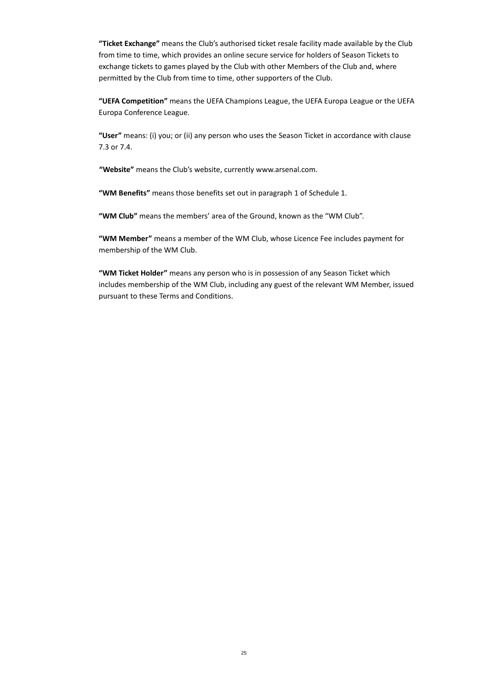**"Ticket Exchange"** means the Club's authorised ticket resale facility made available by the Club from time to time, which provides an online secure service for holders of Season Tickets to exchange tickets to games played by the Club with other Members of the Club and, where permitted by the Club from time to time, other supporters of the Club.

**"UEFA Competition"** means the UEFA Champions League, the UEFA Europa League or the UEFA Europa Conference League.

**"User"** means: (i) you; or (ii) any person who uses the Season Ticket in accordance with clause 7.3 or 7.4.

**"Website"** means the Club's website, currentl[y www.arsenal.com.](http://www.arsenal.com/)

**"WM Benefits"** means those benefits set out in paragraph [1](#page-25-0) of Schedule 1.

**"WM Club"** means the members' area of the Ground, known as the "WM Club".

**"WM Member"** means a member of the WM Club, whose Licence Fee includes payment for membership of the WM Club.

**"WM Ticket Holder"** means any person who is in possession of any Season Ticket which includes membership of the WM Club, including any guest of the relevant WM Member, issued pursuant to these Terms and Conditions.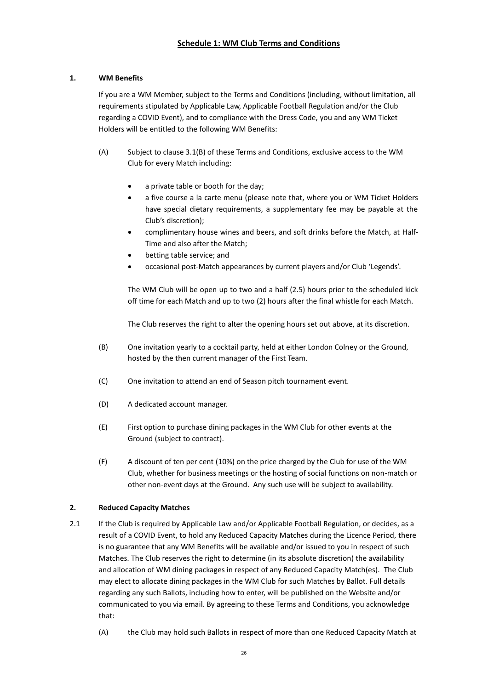# <span id="page-25-0"></span>**1. WM Benefits**

If you are a WM Member, subject to the Terms and Conditions (including, without limitation, all requirements stipulated by Applicable Law, Applicable Football Regulation and/or the Club regarding a COVID Event), and to compliance with the Dress Code, you and any WM Ticket Holders will be entitled to the following WM Benefits:

- (A) Subject to clause 3.1(B) of these Terms and Conditions, exclusive access to the WM Club for every Match including:
	- a private table or booth for the day;
	- a five course a la carte menu (please note that, where you or WM Ticket Holders have special dietary requirements, a supplementary fee may be payable at the Club's discretion);
	- complimentary house wines and beers, and soft drinks before the Match, at Half-Time and also after the Match;
	- betting table service; and
	- occasional post-Match appearances by current players and/or Club 'Legends'.

The WM Club will be open up to two and a half (2.5) hours prior to the scheduled kick off time for each Match and up to two (2) hours after the final whistle for each Match.

The Club reserves the right to alter the opening hours set out above, at its discretion.

- (B) One invitation yearly to a cocktail party, held at either London Colney or the Ground, hosted by the then current manager of the First Team.
- (C) One invitation to attend an end of Season pitch tournament event.
- (D) A dedicated account manager.
- (E) First option to purchase dining packages in the WM Club for other events at the Ground (subject to contract).
- (F) A discount of ten per cent (10%) on the price charged by the Club for use of the WM Club, whether for business meetings or the hosting of social functions on non-match or other non-event days at the Ground. Any such use will be subject to availability.

# **2. Reduced Capacity Matches**

- 2.1 If the Club is required by Applicable Law and/or Applicable Football Regulation, or decides, as a result of a COVID Event, to hold any Reduced Capacity Matches during the Licence Period, there is no guarantee that any WM Benefits will be available and/or issued to you in respect of such Matches. The Club reserves the right to determine (in its absolute discretion) the availability and allocation of WM dining packages in respect of any Reduced Capacity Match(es). The Club may elect to allocate dining packages in the WM Club for such Matches by Ballot. Full details regarding any such Ballots, including how to enter, will be published on the Website and/or communicated to you via email. By agreeing to these Terms and Conditions, you acknowledge that:
	- (A) the Club may hold such Ballots in respect of more than one Reduced Capacity Match at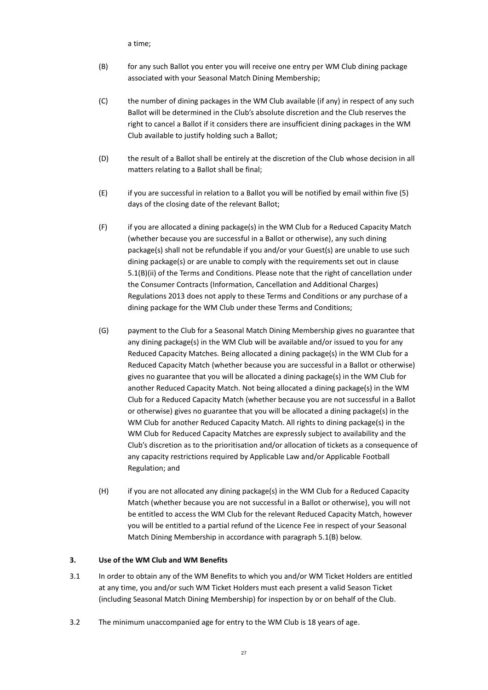a time;

- (B) for any such Ballot you enter you will receive one entry per WM Club dining package associated with your Seasonal Match Dining Membership;
- (C) the number of dining packages in the WM Club available (if any) in respect of any such Ballot will be determined in the Club's absolute discretion and the Club reserves the right to cancel a Ballot if it considers there are insufficient dining packages in the WM Club available to justify holding such a Ballot;
- (D) the result of a Ballot shall be entirely at the discretion of the Club whose decision in all matters relating to a Ballot shall be final;
- (E) if you are successful in relation to a Ballot you will be notified by email within five (5) days of the closing date of the relevant Ballot;
- (F) if you are allocated a dining package(s) in the WM Club for a Reduced Capacity Match (whether because you are successful in a Ballot or otherwise), any such dining package(s) shall not be refundable if you and/or your Guest(s) are unable to use such dining package(s) or are unable to comply with the requirements set out in clause 5.1(B)(ii) of the Terms and Conditions. Please note that the right of cancellation under the Consumer Contracts (Information, Cancellation and Additional Charges) Regulations 2013 does not apply to these Terms and Conditions or any purchase of a dining package for the WM Club under these Terms and Conditions;
- (G) payment to the Club for a Seasonal Match Dining Membership gives no guarantee that any dining package(s) in the WM Club will be available and/or issued to you for any Reduced Capacity Matches. Being allocated a dining package(s) in the WM Club for a Reduced Capacity Match (whether because you are successful in a Ballot or otherwise) gives no guarantee that you will be allocated a dining package(s) in the WM Club for another Reduced Capacity Match. Not being allocated a dining package(s) in the WM Club for a Reduced Capacity Match (whether because you are not successful in a Ballot or otherwise) gives no guarantee that you will be allocated a dining package(s) in the WM Club for another Reduced Capacity Match. All rights to dining package(s) in the WM Club for Reduced Capacity Matches are expressly subject to availability and the Club's discretion as to the prioritisation and/or allocation of tickets as a consequence of any capacity restrictions required by Applicable Law and/or Applicable Football Regulation; and
- (H) if you are not allocated any dining package(s) in the WM Club for a Reduced Capacity Match (whether because you are not successful in a Ballot or otherwise), you will not be entitled to access the WM Club for the relevant Reduced Capacity Match, however you will be entitled to a partial refund of the Licence Fee in respect of your Seasonal Match Dining Membership in accordance with paragraph 5.1(B) below.

#### **3. Use of the WM Club and WM Benefits**

- 3.1 In order to obtain any of the WM Benefits to which you and/or WM Ticket Holders are entitled at any time, you and/or such WM Ticket Holders must each present a valid Season Ticket (including Seasonal Match Dining Membership) for inspection by or on behalf of the Club.
- 3.2 The minimum unaccompanied age for entry to the WM Club is 18 years of age.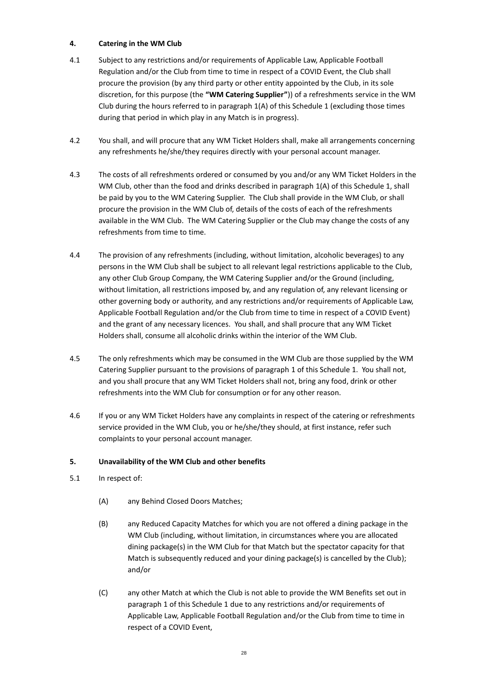### **4. Catering in the WM Club**

- 4.1 Subject to any restrictions and/or requirements of Applicable Law, Applicable Football Regulation and/or the Club from time to time in respect of a COVID Event, the Club shall procure the provision (by any third party or other entity appointed by the Club, in its sole discretion, for this purpose (the **"WM Catering Supplier"**)) of a refreshments service in the WM Club during the hours referred to in paragraph 1(A) of this Schedule 1 (excluding those times during that period in which play in any Match is in progress).
- 4.2 You shall, and will procure that any WM Ticket Holders shall, make all arrangements concerning any refreshments he/she/they requires directly with your personal account manager.
- 4.3 The costs of all refreshments ordered or consumed by you and/or any WM Ticket Holders in the WM Club, other than the food and drinks described in paragraph 1(A) of this Schedule 1, shall be paid by you to the WM Catering Supplier. The Club shall provide in the WM Club, or shall procure the provision in the WM Club of, details of the costs of each of the refreshments available in the WM Club. The WM Catering Supplier or the Club may change the costs of any refreshments from time to time.
- 4.4 The provision of any refreshments (including, without limitation, alcoholic beverages) to any persons in the WM Club shall be subject to all relevant legal restrictions applicable to the Club, any other Club Group Company, the WM Catering Supplier and/or the Ground (including, without limitation, all restrictions imposed by, and any regulation of, any relevant licensing or other governing body or authority, and any restrictions and/or requirements of Applicable Law, Applicable Football Regulation and/or the Club from time to time in respect of a COVID Event) and the grant of any necessary licences. You shall, and shall procure that any WM Ticket Holders shall, consume all alcoholic drinks within the interior of the WM Club.
- 4.5 The only refreshments which may be consumed in the WM Club are those supplied by the WM Catering Supplier pursuant to the provisions of paragraph 1 of this Schedule 1. You shall not, and you shall procure that any WM Ticket Holders shall not, bring any food, drink or other refreshments into the WM Club for consumption or for any other reason.
- 4.6 If you or any WM Ticket Holders have any complaints in respect of the catering or refreshments service provided in the WM Club, you or he/she/they should, at first instance, refer such complaints to your personal account manager.

# **5. Unavailability of the WM Club and other benefits**

- 5.1 In respect of:
	- (A) any Behind Closed Doors Matches;
	- (B) any Reduced Capacity Matches for which you are not offered a dining package in the WM Club (including, without limitation, in circumstances where you are allocated dining package(s) in the WM Club for that Match but the spectator capacity for that Match is subsequently reduced and your dining package(s) is cancelled by the Club); and/or
	- (C) any other Match at which the Club is not able to provide the WM Benefits set out in paragraph 1 of this Schedule 1 due to any restrictions and/or requirements of Applicable Law, Applicable Football Regulation and/or the Club from time to time in respect of a COVID Event,